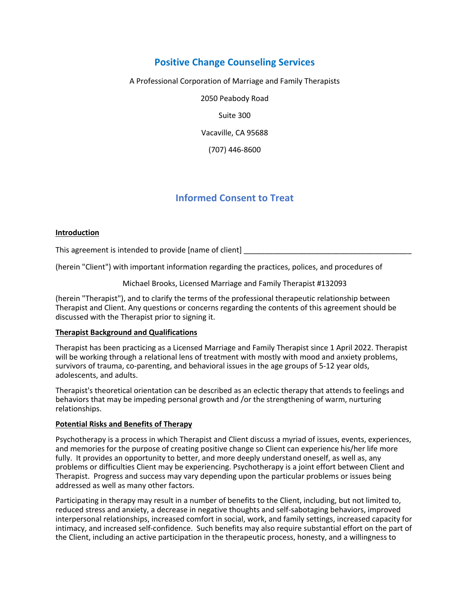# **Positive Change Counseling Services**

A Professional Corporation of Marriage and Family Therapists

2050 Peabody Road

Suite 300

Vacaville, CA 95688

(707) 446-8600

# **Informed Consent to Treat**

# **Introduction**

This agreement is intended to provide [name of client]

(herein "Client") with important information regarding the practices, polices, and procedures of

Michael Brooks, Licensed Marriage and Family Therapist #132093

(herein "Therapist"), and to clarify the terms of the professional therapeutic relationship between Therapist and Client. Any questions or concerns regarding the contents of this agreement should be discussed with the Therapist prior to signing it.

#### **Therapist Background and Qualifications**

Therapist has been practicing as a Licensed Marriage and Family Therapist since 1 April 2022. Therapist will be working through a relational lens of treatment with mostly with mood and anxiety problems, survivors of trauma, co-parenting, and behavioral issues in the age groups of 5-12 year olds, adolescents, and adults.

Therapist's theoretical orientation can be described as an eclectic therapy that attends to feelings and behaviors that may be impeding personal growth and /or the strengthening of warm, nurturing relationships.

#### **Potential Risks and Benefits of Therapy**

Psychotherapy is a process in which Therapist and Client discuss a myriad of issues, events, experiences, and memories for the purpose of creating positive change so Client can experience his/her life more fully. It provides an opportunity to better, and more deeply understand oneself, as well as, any problems or difficulties Client may be experiencing. Psychotherapy is a joint effort between Client and Therapist. Progress and success may vary depending upon the particular problems or issues being addressed as well as many other factors.

Participating in therapy may result in a number of benefits to the Client, including, but not limited to, reduced stress and anxiety, a decrease in negative thoughts and self-sabotaging behaviors, improved interpersonal relationships, increased comfort in social, work, and family settings, increased capacity for intimacy, and increased self-confidence. Such benefits may also require substantial effort on the part of the Client, including an active participation in the therapeutic process, honesty, and a willingness to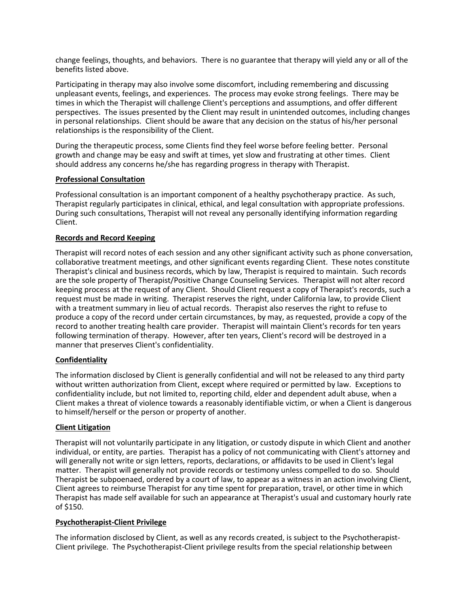change feelings, thoughts, and behaviors. There is no guarantee that therapy will yield any or all of the benefits listed above.

Participating in therapy may also involve some discomfort, including remembering and discussing unpleasant events, feelings, and experiences. The process may evoke strong feelings. There may be times in which the Therapist will challenge Client's perceptions and assumptions, and offer different perspectives. The issues presented by the Client may result in unintended outcomes, including changes in personal relationships. Client should be aware that any decision on the status of his/her personal relationships is the responsibility of the Client.

During the therapeutic process, some Clients find they feel worse before feeling better. Personal growth and change may be easy and swift at times, yet slow and frustrating at other times. Client should address any concerns he/she has regarding progress in therapy with Therapist.

# **Professional Consultation**

Professional consultation is an important component of a healthy psychotherapy practice. As such, Therapist regularly participates in clinical, ethical, and legal consultation with appropriate professions. During such consultations, Therapist will not reveal any personally identifying information regarding Client.

# **Records and Record Keeping**

Therapist will record notes of each session and any other significant activity such as phone conversation, collaborative treatment meetings, and other significant events regarding Client. These notes constitute Therapist's clinical and business records, which by law, Therapist is required to maintain. Such records are the sole property of Therapist/Positive Change Counseling Services. Therapist will not alter record keeping process at the request of any Client. Should Client request a copy of Therapist's records, such a request must be made in writing. Therapist reserves the right, under California law, to provide Client with a treatment summary in lieu of actual records. Therapist also reserves the right to refuse to produce a copy of the record under certain circumstances, by may, as requested, provide a copy of the record to another treating health care provider. Therapist will maintain Client's records for ten years following termination of therapy. However, after ten years, Client's record will be destroyed in a manner that preserves Client's confidentiality.

# **Confidentiality**

The information disclosed by Client is generally confidential and will not be released to any third party without written authorization from Client, except where required or permitted by law. Exceptions to confidentiality include, but not limited to, reporting child, elder and dependent adult abuse, when a Client makes a threat of violence towards a reasonably identifiable victim, or when a Client is dangerous to himself/herself or the person or property of another.

#### **Client Litigation**

Therapist will not voluntarily participate in any litigation, or custody dispute in which Client and another individual, or entity, are parties. Therapist has a policy of not communicating with Client's attorney and will generally not write or sign letters, reports, declarations, or affidavits to be used in Client's legal matter. Therapist will generally not provide records or testimony unless compelled to do so. Should Therapist be subpoenaed, ordered by a court of law, to appear as a witness in an action involving Client, Client agrees to reimburse Therapist for any time spent for preparation, travel, or other time in which Therapist has made self available for such an appearance at Therapist's usual and customary hourly rate of \$150.

#### **Psychotherapist-Client Privilege**

The information disclosed by Client, as well as any records created, is subject to the Psychotherapist-Client privilege. The Psychotherapist-Client privilege results from the special relationship between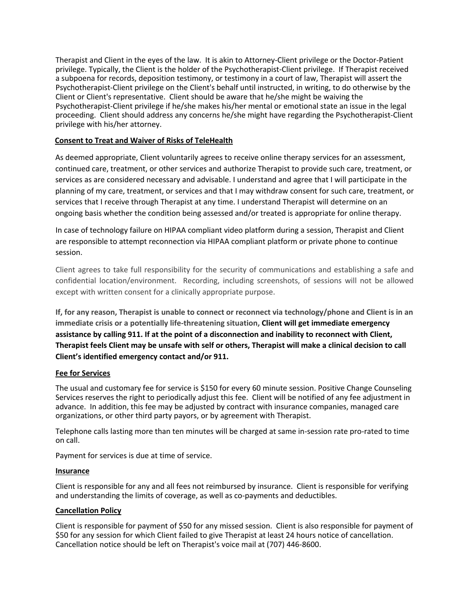Therapist and Client in the eyes of the law. It is akin to Attorney-Client privilege or the Doctor-Patient privilege. Typically, the Client is the holder of the Psychotherapist-Client privilege. If Therapist received a subpoena for records, deposition testimony, or testimony in a court of law, Therapist will assert the Psychotherapist-Client privilege on the Client's behalf until instructed, in writing, to do otherwise by the Client or Client's representative. Client should be aware that he/she might be waiving the Psychotherapist-Client privilege if he/she makes his/her mental or emotional state an issue in the legal proceeding. Client should address any concerns he/she might have regarding the Psychotherapist-Client privilege with his/her attorney.

# **Consent to Treat and Waiver of Risks of TeleHealth**

As deemed appropriate, Client voluntarily agrees to receive online therapy services for an assessment, continued care, treatment, or other services and authorize Therapist to provide such care, treatment, or services as are considered necessary and advisable. I understand and agree that I will participate in the planning of my care, treatment, or services and that I may withdraw consent for such care, treatment, or services that I receive through Therapist at any time. I understand Therapist will determine on an ongoing basis whether the condition being assessed and/or treated is appropriate for online therapy.

In case of technology failure on HIPAA compliant video platform during a session, Therapist and Client are responsible to attempt reconnection via HIPAA compliant platform or private phone to continue session.

Client agrees to take full responsibility for the security of communications and establishing a safe and confidential location/environment. Recording, including screenshots, of sessions will not be allowed except with written consent for a clinically appropriate purpose.

**If, for any reason, Therapist is unable to connect or reconnect via technology/phone and Client is in an immediate crisis or a potentially life-threatening situation, Client will get immediate emergency assistance by calling 911. If at the point of a disconnection and inability to reconnect with Client, Therapist feels Client may be unsafe with self or others, Therapist will make a clinical decision to call Client's identified emergency contact and/or 911.**

# **Fee for Services**

The usual and customary fee for service is \$150 for every 60 minute session. Positive Change Counseling Services reserves the right to periodically adjust this fee. Client will be notified of any fee adjustment in advance. In addition, this fee may be adjusted by contract with insurance companies, managed care organizations, or other third party payors, or by agreement with Therapist.

Telephone calls lasting more than ten minutes will be charged at same in-session rate pro-rated to time on call.

Payment for services is due at time of service.

# **Insurance**

Client is responsible for any and all fees not reimbursed by insurance. Client is responsible for verifying and understanding the limits of coverage, as well as co-payments and deductibles.

# **Cancellation Policy**

Client is responsible for payment of \$50 for any missed session. Client is also responsible for payment of \$50 for any session for which Client failed to give Therapist at least 24 hours notice of cancellation. Cancellation notice should be left on Therapist's voice mail at (707) 446-8600.